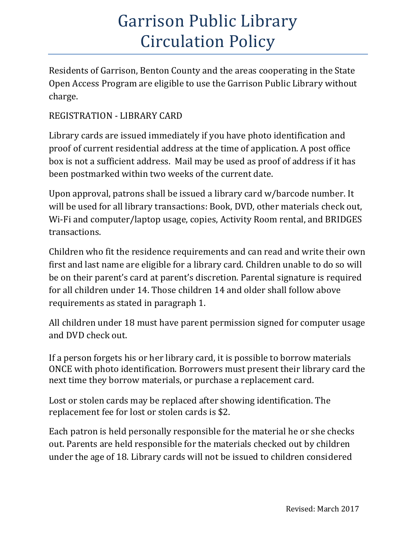# Garrison Public Library Circulation Policy

Residents of Garrison, Benton County and the areas cooperating in the State Open Access Program are eligible to use the Garrison Public Library without charge.

## REGISTRATION - LIBRARY CARD

Library cards are issued immediately if you have photo identification and proof of current residential address at the time of application. A post office box is not a sufficient address. Mail may be used as proof of address if it has been postmarked within two weeks of the current date.

Upon approval, patrons shall be issued a library card w/barcode number. It will be used for all library transactions: Book, DVD, other materials check out, Wi-Fi and computer/laptop usage, copies, Activity Room rental, and BRIDGES transactions.

Children who fit the residence requirements and can read and write their own first and last name are eligible for a library card. Children unable to do so will be on their parent's card at parent's discretion. Parental signature is required for all children under 14. Those children 14 and older shall follow above requirements as stated in paragraph 1.

All children under 18 must have parent permission signed for computer usage and DVD check out.

If a person forgets his or her library card, it is possible to borrow materials ONCE with photo identification. Borrowers must present their library card the next time they borrow materials, or purchase a replacement card.

Lost or stolen cards may be replaced after showing identification. The replacement fee for lost or stolen cards is \$2.

Each patron is held personally responsible for the material he or she checks out. Parents are held responsible for the materials checked out by children under the age of 18. Library cards will not be issued to children considered